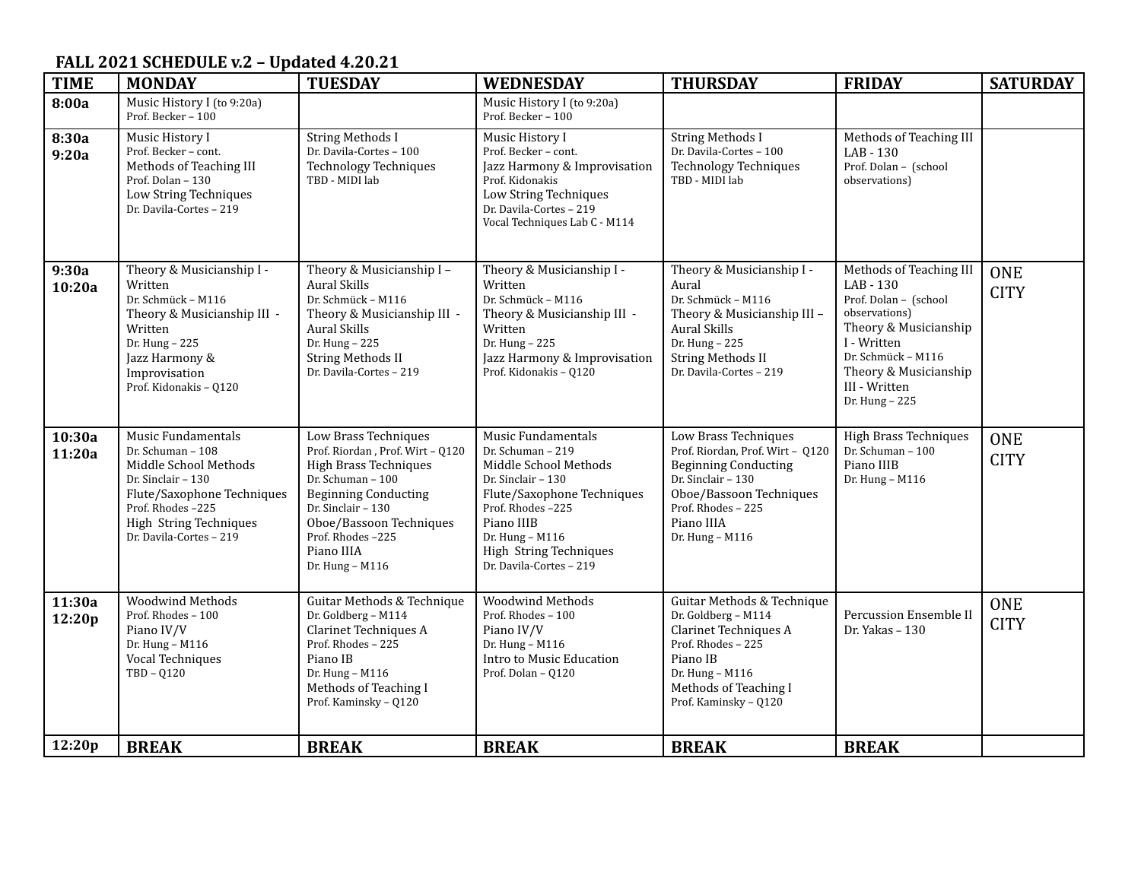## **FALL 2021 SCHEDULE v.2 – Updated 4.20.21**

| <b>TIME</b>      | <b>MONDAY</b>                                                                                                                                                                                 | <b>TUESDAY</b>                                                                                                                                                                                                                                     | <b>WEDNESDAY</b>                                                                                                                                                                                                               | <b>THURSDAY</b>                                                                                                                                                                                 | <b>FRIDAY</b>                                                                                                                                                                                            | <b>SATURDAY</b>           |
|------------------|-----------------------------------------------------------------------------------------------------------------------------------------------------------------------------------------------|----------------------------------------------------------------------------------------------------------------------------------------------------------------------------------------------------------------------------------------------------|--------------------------------------------------------------------------------------------------------------------------------------------------------------------------------------------------------------------------------|-------------------------------------------------------------------------------------------------------------------------------------------------------------------------------------------------|----------------------------------------------------------------------------------------------------------------------------------------------------------------------------------------------------------|---------------------------|
| 8:00a            | Music History I (to 9:20a)<br>Prof. Becker - 100                                                                                                                                              |                                                                                                                                                                                                                                                    | Music History I (to 9:20a)<br>Prof. Becker - 100                                                                                                                                                                               |                                                                                                                                                                                                 |                                                                                                                                                                                                          |                           |
| 8:30a<br>9:20a   | Music History I<br>Prof. Becker - cont.<br>Methods of Teaching III<br>Prof. Dolan - 130<br>Low String Techniques<br>Dr. Davila-Cortes - 219                                                   | <b>String Methods I</b><br>Dr. Davila-Cortes - 100<br><b>Technology Techniques</b><br>TBD - MIDI lab                                                                                                                                               | Music History I<br>Prof. Becker - cont.<br>Jazz Harmony & Improvisation<br>Prof. Kidonakis<br>Low String Techniques<br>Dr. Davila-Cortes - 219<br>Vocal Techniques Lab C - M114                                                | <b>String Methods I</b><br>Dr. Davila-Cortes - 100<br><b>Technology Techniques</b><br>TBD - MIDI lab                                                                                            | Methods of Teaching III<br>LAB - 130<br>Prof. Dolan - (school<br>observations)                                                                                                                           |                           |
| 9:30a<br>10:20a  | Theory & Musicianship I -<br>Written<br>Dr. Schmück - M116<br>Theory & Musicianship III -<br>Written<br>Dr. Hung - 225<br>Jazz Harmony &<br>Improvisation<br>Prof. Kidonakis - Q120           | Theory & Musicianship I-<br><b>Aural Skills</b><br>Dr. Schmück - M116<br>Theory & Musicianship III -<br><b>Aural Skills</b><br>Dr. Hung - 225<br><b>String Methods II</b><br>Dr. Davila-Cortes - 219                                               | Theory & Musicianship I -<br>Written<br>Dr. Schmück - M116<br>Theory & Musicianship III -<br>Written<br>Dr. Hung - 225<br>Jazz Harmony & Improvisation<br>Prof. Kidonakis - Q120                                               | Theory & Musicianship I -<br>Aural<br>Dr. Schmück - M116<br>Theory & Musicianship III -<br><b>Aural Skills</b><br>Dr. Hung - 225<br><b>String Methods II</b><br>Dr. Davila-Cortes - 219         | Methods of Teaching III<br>LAB - 130<br>Prof. Dolan - (school<br>observations)<br>Theory & Musicianship<br>I - Written<br>Dr. Schmück - M116<br>Theory & Musicianship<br>III - Written<br>Dr. Hung - 225 | <b>ONE</b><br><b>CITY</b> |
| 10:30a<br>11:20a | Music Fundamentals<br>Dr. Schuman - 108<br>Middle School Methods<br>Dr. Sinclair - 130<br>Flute/Saxophone Techniques<br>Prof. Rhodes-225<br>High String Techniques<br>Dr. Davila-Cortes - 219 | Low Brass Techniques<br>Prof. Riordan, Prof. Wirt - Q120<br><b>High Brass Techniques</b><br>Dr. Schuman - 100<br><b>Beginning Conducting</b><br>Dr. Sinclair - 130<br>Oboe/Bassoon Techniques<br>Prof. Rhodes-225<br>Piano IIIA<br>Dr. Hung - M116 | Music Fundamentals<br>Dr. Schuman - 219<br>Middle School Methods<br>Dr. Sinclair - 130<br>Flute/Saxophone Techniques<br>Prof. Rhodes-225<br>Piano IIIB<br>Dr. Hung - M116<br>High String Techniques<br>Dr. Davila-Cortes - 219 | Low Brass Techniques<br>Prof. Riordan, Prof. Wirt - Q120<br><b>Beginning Conducting</b><br>Dr. Sinclair - 130<br>Oboe/Bassoon Techniques<br>Prof. Rhodes - 225<br>Piano IIIA<br>Dr. Hung - M116 | <b>High Brass Techniques</b><br>Dr. Schuman - 100<br>Piano IIIB<br>Dr. Hung - M116                                                                                                                       | <b>ONE</b><br><b>CITY</b> |
| 11:30a<br>12:20p | Woodwind Methods<br>Prof. Rhodes - 100<br>Piano IV/V<br>Dr. Hung - M116<br>Vocal Techniques<br>TBD - Q120                                                                                     | Guitar Methods & Technique<br>Dr. Goldberg - M114<br>Clarinet Techniques A<br>Prof. Rhodes - 225<br>Piano IB<br>Dr. Hung - M116<br>Methods of Teaching I<br>Prof. Kaminsky - Q120                                                                  | <b>Woodwind Methods</b><br>Prof. Rhodes - 100<br>Piano IV/V<br>Dr. Hung - M116<br>Intro to Music Education<br>Prof. Dolan - Q120                                                                                               | Guitar Methods & Technique<br>Dr. Goldberg - M114<br>Clarinet Techniques A<br>Prof. Rhodes - 225<br>Piano IB<br>Dr. Hung - M116<br>Methods of Teaching I<br>Prof. Kaminsky - Q120               | Percussion Ensemble II<br>Dr. Yakas - 130                                                                                                                                                                | <b>ONE</b><br><b>CITY</b> |
| 12:20p           | <b>BREAK</b>                                                                                                                                                                                  | <b>BREAK</b>                                                                                                                                                                                                                                       | <b>BREAK</b>                                                                                                                                                                                                                   | <b>BREAK</b>                                                                                                                                                                                    | <b>BREAK</b>                                                                                                                                                                                             |                           |